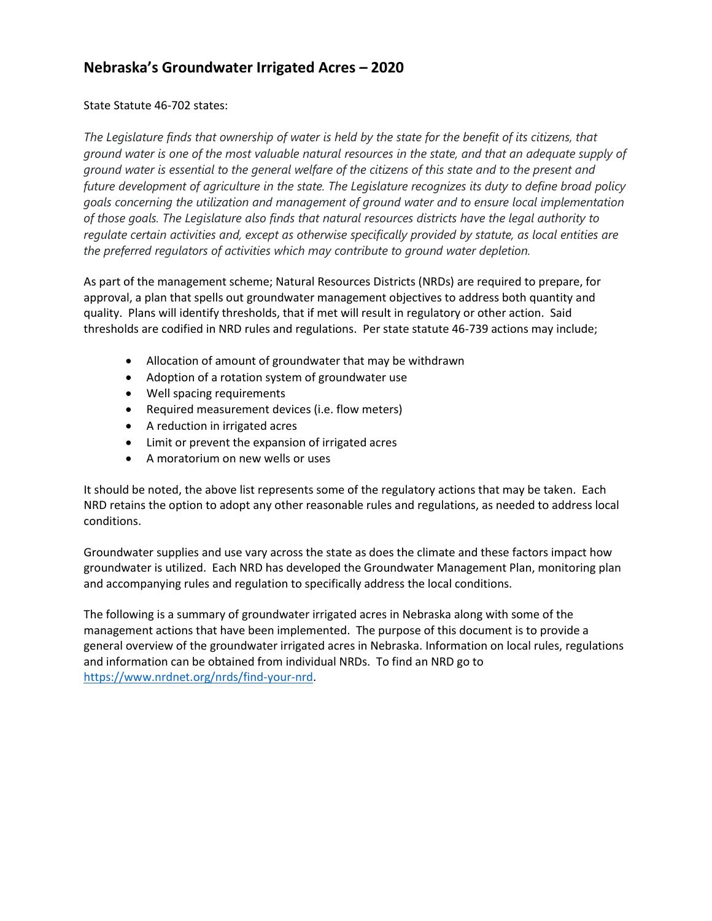## **Nebraska's Groundwater Irrigated Acres – 2020**

## State Statute 46-702 states:

*The Legislature finds that ownership of water is held by the state for the benefit of its citizens, that ground water is one of the most valuable natural resources in the state, and that an adequate supply of ground water is essential to the general welfare of the citizens of this state and to the present and future development of agriculture in the state. The Legislature recognizes its duty to define broad policy goals concerning the utilization and management of ground water and to ensure local implementation of those goals. The Legislature also finds that natural resources districts have the legal authority to regulate certain activities and, except as otherwise specifically provided by statute, as local entities are the preferred regulators of activities which may contribute to ground water depletion.*

As part of the management scheme; Natural Resources Districts (NRDs) are required to prepare, for approval, a plan that spells out groundwater management objectives to address both quantity and quality. Plans will identify thresholds, that if met will result in regulatory or other action. Said thresholds are codified in NRD rules and regulations. Per state statute 46-739 actions may include;

- Allocation of amount of groundwater that may be withdrawn
- Adoption of a rotation system of groundwater use
- Well spacing requirements
- Required measurement devices (i.e. flow meters)
- A reduction in irrigated acres
- Limit or prevent the expansion of irrigated acres
- A moratorium on new wells or uses

It should be noted, the above list represents some of the regulatory actions that may be taken. Each NRD retains the option to adopt any other reasonable rules and regulations, as needed to address local conditions.

Groundwater supplies and use vary across the state as does the climate and these factors impact how groundwater is utilized. Each NRD has developed the Groundwater Management Plan, monitoring plan and accompanying rules and regulation to specifically address the local conditions.

The following is a summary of groundwater irrigated acres in Nebraska along with some of the management actions that have been implemented. The purpose of this document is to provide a general overview of the groundwater irrigated acres in Nebraska. Information on local rules, regulations and information can be obtained from individual NRDs. To find an NRD go to [https://www.nrdnet.org/nrds/find-your-nrd.](https://www.nrdnet.org/nrds/find-your-nrd)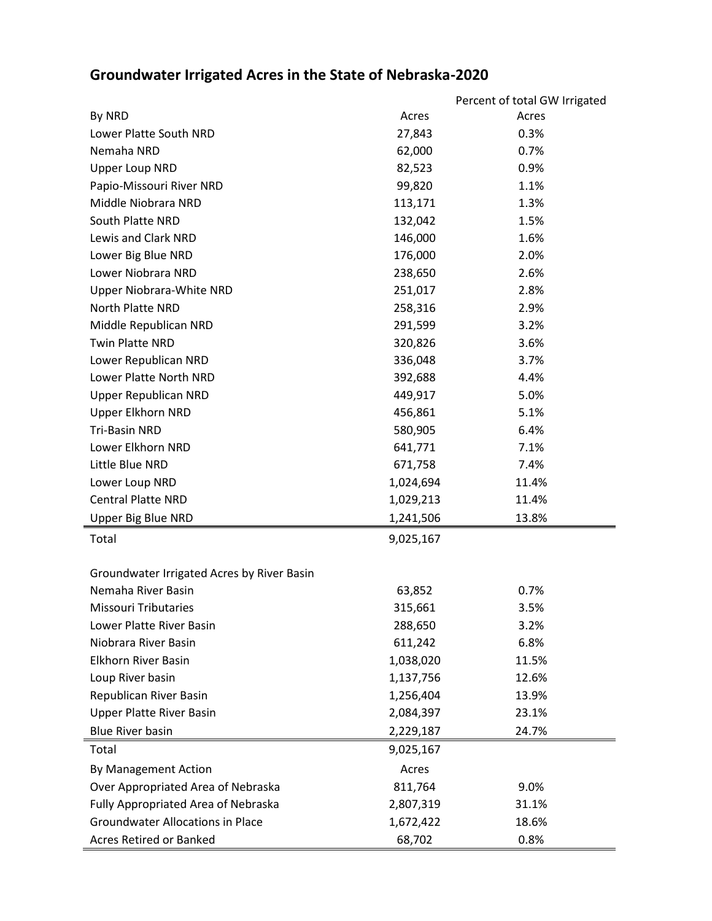## **Groundwater Irrigated Acres in the State of Nebraska-2020**

|                                            |           | Percent of total GW Irrigated |
|--------------------------------------------|-----------|-------------------------------|
| By NRD                                     | Acres     | Acres                         |
| Lower Platte South NRD                     | 27,843    | 0.3%                          |
| Nemaha NRD                                 | 62,000    | 0.7%                          |
| <b>Upper Loup NRD</b>                      | 82,523    | 0.9%                          |
| Papio-Missouri River NRD                   | 99,820    | 1.1%                          |
| Middle Niobrara NRD                        | 113,171   | 1.3%                          |
| South Platte NRD                           | 132,042   | 1.5%                          |
| Lewis and Clark NRD                        | 146,000   | 1.6%                          |
| Lower Big Blue NRD                         | 176,000   | 2.0%                          |
| Lower Niobrara NRD                         | 238,650   | 2.6%                          |
| Upper Niobrara-White NRD                   | 251,017   | 2.8%                          |
| North Platte NRD                           | 258,316   | 2.9%                          |
| Middle Republican NRD                      | 291,599   | 3.2%                          |
| <b>Twin Platte NRD</b>                     | 320,826   | 3.6%                          |
| Lower Republican NRD                       | 336,048   | 3.7%                          |
| Lower Platte North NRD                     | 392,688   | 4.4%                          |
| <b>Upper Republican NRD</b>                | 449,917   | 5.0%                          |
| <b>Upper Elkhorn NRD</b>                   | 456,861   | 5.1%                          |
| <b>Tri-Basin NRD</b>                       | 580,905   | 6.4%                          |
| Lower Elkhorn NRD                          | 641,771   | 7.1%                          |
| Little Blue NRD                            | 671,758   | 7.4%                          |
| Lower Loup NRD                             | 1,024,694 | 11.4%                         |
| <b>Central Platte NRD</b>                  | 1,029,213 | 11.4%                         |
| Upper Big Blue NRD                         | 1,241,506 | 13.8%                         |
| Total                                      | 9,025,167 |                               |
|                                            |           |                               |
| Groundwater Irrigated Acres by River Basin |           |                               |
| Nemaha River Basin                         | 63,852    | 0.7%                          |
| <b>Missouri Tributaries</b>                | 315,661   | 3.5%                          |
| Lower Platte River Basin                   | 288,650   | 3.2%                          |
| Niobrara River Basin                       | 611,242   | 6.8%                          |
| <b>Elkhorn River Basin</b>                 | 1,038,020 | 11.5%                         |
| Loup River basin                           | 1,137,756 | 12.6%                         |
| Republican River Basin                     | 1,256,404 | 13.9%                         |
| <b>Upper Platte River Basin</b>            | 2,084,397 | 23.1%                         |
| <b>Blue River basin</b>                    | 2,229,187 | 24.7%                         |
| Total                                      | 9,025,167 |                               |
| By Management Action                       | Acres     |                               |
| Over Appropriated Area of Nebraska         | 811,764   | 9.0%                          |
| Fully Appropriated Area of Nebraska        | 2,807,319 | 31.1%                         |
| <b>Groundwater Allocations in Place</b>    | 1,672,422 | 18.6%                         |
| Acres Retired or Banked                    | 68,702    | 0.8%                          |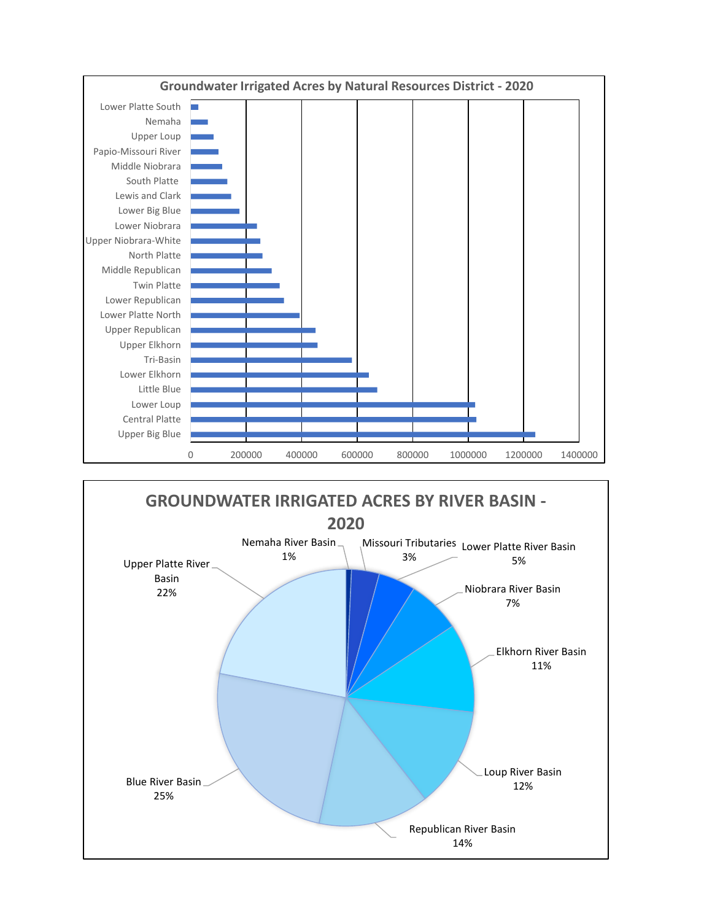

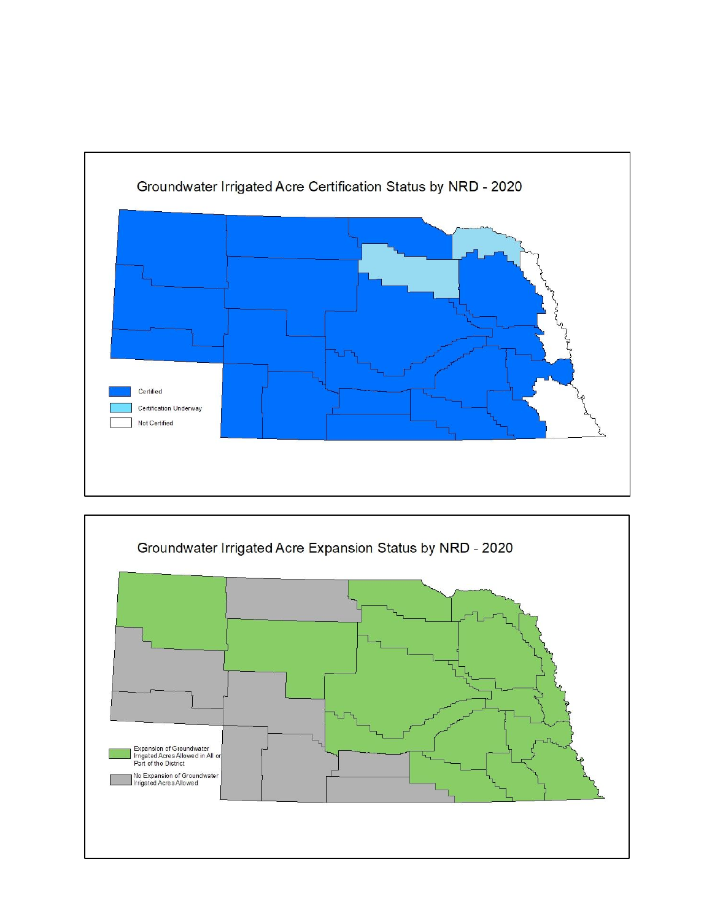